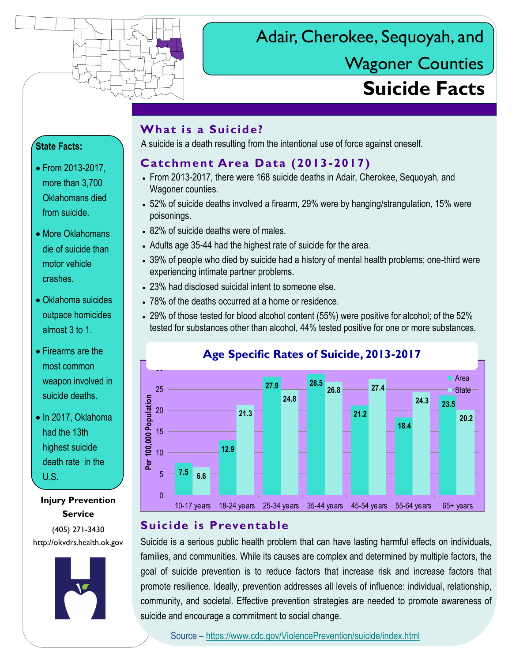

# Wagoner Counties

**Suicide Facts**

### **What is a Suicide?**

A suicide is a death resulting from the intentional use of force against oneself.

## **Catchment Area Data (2013 -2017)**

- From 2013-2017, there were 168 suicide deaths in Adair, Cherokee, Sequoyah, and Wagoner counties.
- 52% of suicide deaths involved a firearm, 29% were by hanging/strangulation, 15% were poisonings.
- 82% of suicide deaths were of males.
- Adults age 35-44 had the highest rate of suicide for the area.
- 39% of people who died by suicide had a history of mental health problems; one-third were experiencing intimate partner problems.
- 23% had disclosed suicidal intent to someone else.
- 78% of the deaths occurred at a home or residence.
- 29% of those tested for blood alcohol content (55%) were positive for alcohol; of the 52% tested for substances other than alcohol, 44% tested positive for one or more substances.



#### **Age Specific Rates of Suicide, 2013-2017**

#### **Suicide is Preventable**

Suicide is a serious public health problem that can have lasting harmful effects on individuals, families, and communities. While its causes are complex and determined by multiple factors, the goal of suicide prevention is to reduce factors that increase risk and increase factors that promote resilience. Ideally, prevention addresses all levels of influence: individual, relationship, community, and societal. Effective prevention strategies are needed to promote awareness of suicide and encourage a commitment to social change.

#### Source – <https://www.cdc.gov/ViolencePrevention/suicide/index.html>

### **State Facts:**

- From 2013-2017, more than 3,700 Oklahomans died from suicide.
- More Oklahomans die of suicide than motor vehicle crashes.
- Oklahoma suicides outpace homicides almost 3 to 1.
- Firearms are the most common weapon involved in suicide deaths.
- $\bullet$  In 2017, Oklahoma had the 13th highest suicide death rate in the U.S.

#### **Injury Prevention Service**

(405) 271-3430 http://okvdrs.health.ok.gov